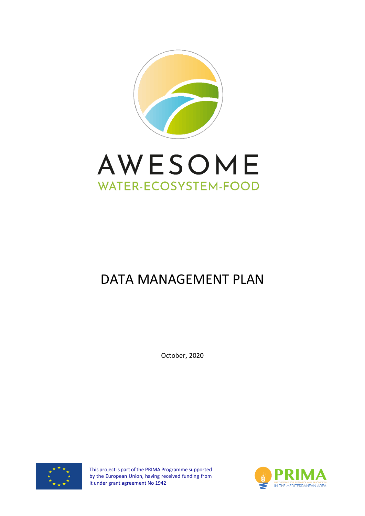



# DATA MANAGEMENT PLAN

October, 2020



This project is part of the PRIMA Programme supported by the European Union, having received funding from it under grant agreement No 1942

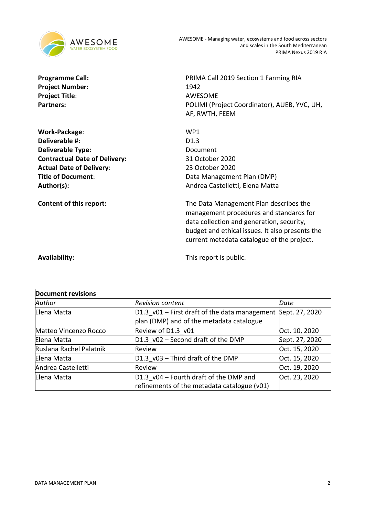

Project Number: 1942 **Project Title**: AWESOME

**Work-Package**: WP1 **Deliverable #:** D1.3 **Deliverable Type:** Document **Contractual Date of Delivery:** 31 October 2020 **Actual Date of Delivery**: 23 October 2020

**Programme Call:** PRIMA Call 2019 Section 1 Farming RIA Partners: POLIMI (Project Coordinator), AUEB, YVC, UH, AF, RWTH, FEEM

**Title of Document:** Data Management Plan (DMP) Author(s): Author(s): Andrea Castelletti, Elena Matta

**Content of this report:** The Data Management Plan describes the management procedures and standards for data collection and generation, security, budget and ethical issues. It also presents the current metadata catalogue of the project.

**Availability:** This report is public.

| <b>Document revisions</b> |                                                 |                |
|---------------------------|-------------------------------------------------|----------------|
| Author                    | <b>Revision content</b>                         | Date           |
| Elena Matta               | $D1.3$ v01 – First draft of the data management | Sept. 27, 2020 |
|                           | plan (DMP) and of the metadata catalogue        |                |
| Matteo Vincenzo Rocco     | Review of D1.3 v01                              | Oct. 10, 2020  |
| Elena Matta               | $D1.3$ v02 – Second draft of the DMP            | Sept. 27, 2020 |
| Ruslana Rachel Palatnik   | Review                                          | Oct. 15, 2020  |
| Elena Matta               | D1.3 v03 - Third draft of the DMP               | Oct. 15, 2020  |
| Andrea Castelletti        | Review                                          | Oct. 19, 2020  |
| Elena Matta               | D1.3_v04 - Fourth draft of the DMP and          | Oct. 23, 2020  |
|                           | refinements of the metadata catalogue (v01)     |                |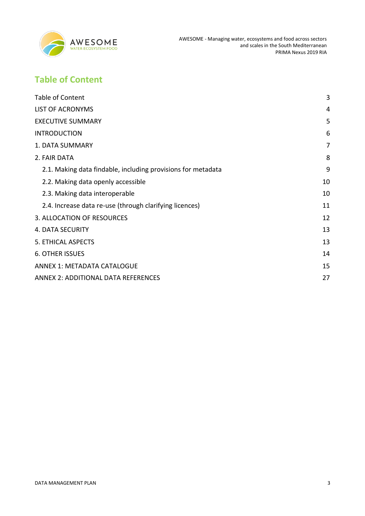

# <span id="page-2-0"></span>**Table of Content**

| <b>Table of Content</b>                                      | 3  |
|--------------------------------------------------------------|----|
| <b>LIST OF ACRONYMS</b>                                      | 4  |
| <b>EXECUTIVE SUMMARY</b>                                     | 5  |
| <b>INTRODUCTION</b>                                          | 6  |
| <b>1. DATA SUMMARY</b>                                       | 7  |
| 2. FAIR DATA                                                 | 8  |
| 2.1. Making data findable, including provisions for metadata | 9  |
| 2.2. Making data openly accessible                           | 10 |
| 2.3. Making data interoperable                               | 10 |
| 2.4. Increase data re-use (through clarifying licences)      | 11 |
| 3. ALLOCATION OF RESOURCES                                   | 12 |
| <b>4. DATA SECURITY</b>                                      | 13 |
| 5. ETHICAL ASPECTS                                           | 13 |
| <b>6. OTHER ISSUES</b>                                       | 14 |
| <b>ANNEX 1: METADATA CATALOGUE</b>                           | 15 |
| <b>ANNEX 2: ADDITIONAL DATA REFERENCES</b>                   | 27 |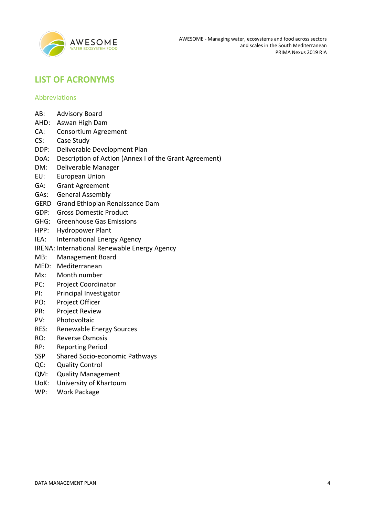

### <span id="page-3-0"></span>**LIST OF ACRONYMS**

### Abbreviations

- AB: Advisory Board
- AHD: Aswan High Dam
- CA: Consortium Agreement
- CS: Case Study
- DDP: Deliverable Development Plan
- DoA: Description of Action (Annex I of the Grant Agreement)
- DM: Deliverable Manager
- EU: European Union
- GA: Grant Agreement
- GAs: General Assembly
- GERD Grand Ethiopian Renaissance Dam
- GDP: Gross Domestic Product
- GHG: Greenhouse Gas Emissions
- HPP: Hydropower Plant
- IEA: International Energy Agency
- IRENA: International Renewable Energy Agency
- MB: Management Board
- MED: Mediterranean
- Mx: Month number
- PC: Project Coordinator
- PI: Principal Investigator
- PO: Project Officer
- PR: Project Review
- PV: Photovoltaic
- RES: Renewable Energy Sources
- RO: Reverse Osmosis
- RP: Reporting Period
- SSP Shared Socio-economic Pathways
- QC: Quality Control
- QM: Quality Management
- UoK: University of Khartoum
- WP: Work Package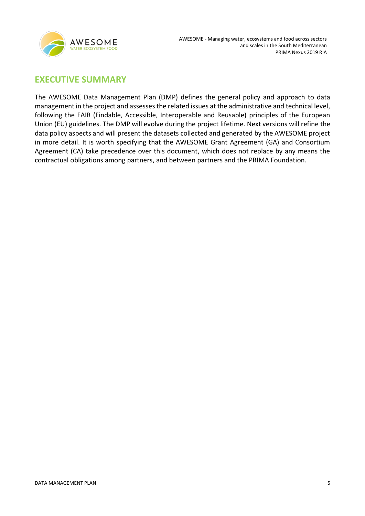

### <span id="page-4-0"></span>**EXECUTIVE SUMMARY**

The AWESOME Data Management Plan (DMP) defines the general policy and approach to data management in the project and assesses the related issues at the administrative and technical level, following the FAIR (Findable, Accessible, Interoperable and Reusable) principles of the European Union (EU) guidelines. The DMP will evolve during the project lifetime. Next versions will refine the data policy aspects and will present the datasets collected and generated by the AWESOME project in more detail. It is worth specifying that the AWESOME Grant Agreement (GA) and Consortium Agreement (CA) take precedence over this document, which does not replace by any means the contractual obligations among partners, and between partners and the PRIMA Foundation.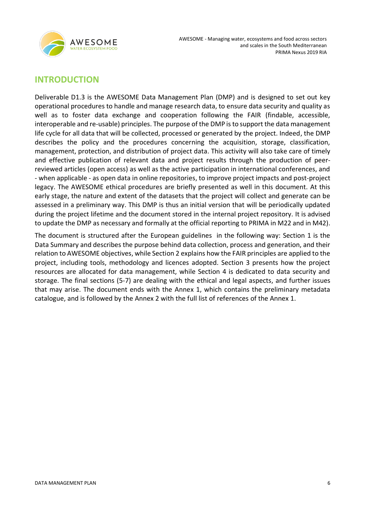

### <span id="page-5-0"></span>**INTRODUCTION**

Deliverable D1.3 is the AWESOME Data Management Plan (DMP) and is designed to set out key operational procedures to handle and manage research data, to ensure data security and quality as well as to foster data exchange and cooperation following the FAIR (findable, accessible, interoperable and re-usable) principles. The purpose of the DMP is to support the data management life cycle for all data that will be collected, processed or generated by the project. Indeed, the DMP describes the policy and the procedures concerning the acquisition, storage, classification, management, protection, and distribution of project data. This activity will also take care of timely and effective publication of relevant data and project results through the production of peerreviewed articles (open access) as well as the active participation in international conferences, and - when applicable - as open data in online repositories, to improve project impacts and post-project legacy. The AWESOME ethical procedures are briefly presented as well in this document. At this early stage, the nature and extent of the datasets that the project will collect and generate can be assessed in a preliminary way. This DMP is thus an initial version that will be periodically updated during the project lifetime and the document stored in the internal project repository. It is advised to update the DMP as necessary and formally at the official reporting to PRIMA in M22 and in M42).

The document is structured after the European guidelines in the following way: Section 1 is the Data Summary and describes the purpose behind data collection, process and generation, and their relation to AWESOME objectives, while Section 2 explains how the FAIR principles are applied to the project, including tools, methodology and licences adopted. Section 3 presents how the project resources are allocated for data management, while Section 4 is dedicated to data security and storage. The final sections (5-7) are dealing with the ethical and legal aspects, and further issues that may arise. The document ends with the Annex 1, which contains the preliminary metadata catalogue, and is followed by the Annex 2 with the full list of references of the Annex 1.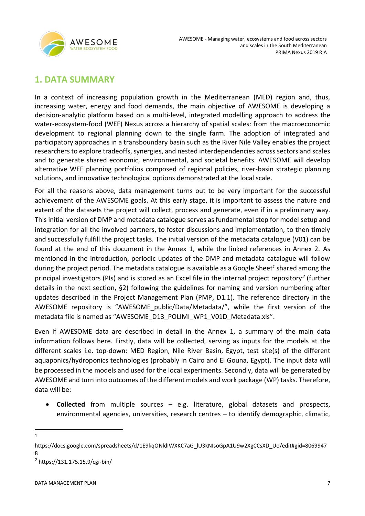

### <span id="page-6-0"></span>**1. DATA SUMMARY**

In a context of increasing population growth in the Mediterranean (MED) region and, thus, increasing water, energy and food demands, the main objective of AWESOME is developing a decision-analytic platform based on a multi-level, integrated modelling approach to address the water-ecosystem-food (WEF) Nexus across a hierarchy of spatial scales: from the macroeconomic development to regional planning down to the single farm. The adoption of integrated and participatory approaches in a transboundary basin such as the River Nile Valley enables the project researchers to explore tradeoffs, synergies, and nested interdependencies across sectors and scales and to generate shared economic, environmental, and societal benefits. AWESOME will develop alternative WEF planning portfolios composed of regional policies, river-basin strategic planning solutions, and innovative technological options demonstrated at the local scale.

For all the reasons above, data management turns out to be very important for the successful achievement of the AWESOME goals. At this early stage, it is important to assess the nature and extent of the datasets the project will collect, process and generate, even if in a preliminary way. This initial version of DMP and metadata catalogue serves as fundamental step for model setup and integration for all the involved partners, to foster discussions and implementation, to then timely and successfully fulfill the project tasks. The initial version of the metadata catalogue (V01) can be found at the end of this document in the Annex 1, while the linked references in Annex 2. As mentioned in the introduction, periodic updates of the DMP and metadata catalogue will follow during the project period. The metadata catalogue is available as a Google Sheet*<sup>1</sup>* shared among the principal investigators (PIs) and is stored as an Excel file in the internal project repository*<sup>2</sup>* (further details in the next section, §2) following the guidelines for naming and version numbering after updates described in the Project Management Plan (PMP, D1.1). The reference directory in the AWESOME repository is "AWESOME\_public/Data/Metadata/", while the first version of the metadata file is named as "AWESOME\_D13\_POLIMI\_WP1\_V01D\_Metadata.xls".

Even if AWESOME data are described in detail in the Annex 1, a summary of the main data information follows here. Firstly, data will be collected, serving as inputs for the models at the different scales i.e. top-down: MED Region, Nile River Basin, Egypt, test site(s) of the different aquaponics/hydroponics technologies (probably in Cairo and El Gouna, Egypt). The input data will be processed in the models and used for the local experiments. Secondly, data will be generated by AWESOME and turn into outcomes of the different models and work package (WP) tasks. Therefore, data will be:

- **Collected** from multiple sources e.g. literature, global datasets and prospects, environmental agencies, universities, research centres – to identify demographic, climatic,
- 1

https://docs.google.com/spreadsheets/d/1E9kqONldIWXKC7aG\_lU3kNIsoGpA1U9w2XgCCsXD\_Uo/edit#gid=8069947 8

<sup>&</sup>lt;sup>2</sup> https://131.175.15.9/cgi-bin/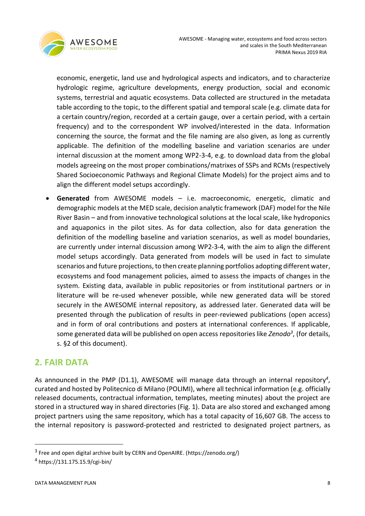

economic, energetic, land use and hydrological aspects and indicators, and to characterize hydrologic regime, agriculture developments, energy production, social and economic systems, terrestrial and aquatic ecosystems. Data collected are structured in the metadata table according to the topic, to the different spatial and temporal scale (e.g. climate data for a certain country/region, recorded at a certain gauge, over a certain period, with a certain frequency) and to the correspondent WP involved/interested in the data. Information concerning the source, the format and the file naming are also given, as long as currently applicable. The definition of the modelling baseline and variation scenarios are under internal discussion at the moment among WP2-3-4, e.g. to download data from the global models agreeing on the most proper combinations/matrixes of SSPs and RCMs (respectively Shared Socioeconomic Pathways and Regional Climate Models) for the project aims and to align the different model setups accordingly.

• **Generated** from AWESOME models – i.e. macroeconomic, energetic, climatic and demographic models at the MED scale, decision analytic framework (DAF) model for the Nile River Basin – and from innovative technological solutions at the local scale, like hydroponics and aquaponics in the pilot sites. As for data collection, also for data generation the definition of the modelling baseline and variation scenarios, as well as model boundaries, are currently under internal discussion among WP2-3-4, with the aim to align the different model setups accordingly. Data generated from models will be used in fact to simulate scenarios and future projections, to then create planning portfolios adopting different water, ecosystems and food management policies, aimed to assess the impacts of changes in the system. Existing data, available in public repositories or from institutional partners or in literature will be re-used whenever possible, while new generated data will be stored securely in the AWESOME internal repository, as addressed later. Generated data will be presented through the publication of results in peer-reviewed publications (open access) and in form of oral contributions and posters at international conferences. If applicable, some generated data will be published on open access repositories like *Zenodo<sup>3</sup>* , (for details, s. §2 of this document).

# <span id="page-7-0"></span>**2. FAIR DATA**

As announced in the PMP (D1.1), AWESOME will manage data through an internal repository*<sup>4</sup>* , curated and hosted by Politecnico di Milano (POLIMI), where all technical information (e.g. officially released documents, contractual information, templates, meeting minutes) about the project are stored in a structured way in shared directories (Fig. 1). Data are also stored and exchanged among project partners using the same repository, which has a total capacity of 16,607 GB. The access to the internal repository is password-protected and restricted to designated project partners, as

<sup>&</sup>lt;sup>3</sup> Free and open digital archive built by CERN and OpenAIRE. (https://zenodo.org/)

<sup>4</sup> https://131.175.15.9/cgi-bin/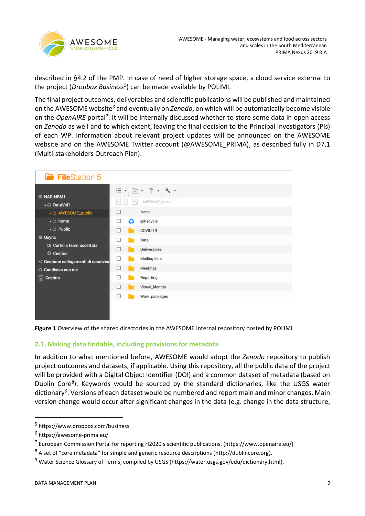

described in §4.2 of the PMP. In case of need of higher storage space, a cloud service external to the project (*Dropbox Business<sup>5</sup>* ) can be made available by POLIMI.

The final project outcomes, deliverables and scientific publications will be published and maintained on the AWESOME website*<sup>6</sup>* and eventually on *Zenodo*, on which will be automatically become visible on the *OpenAIRE* portal<sup>7</sup>. It will be internally discussed whether to store some data in open access on *Zenodo* as well and to which extent, leaving the final decision to the Principal Investigators (PIs) of each WP. Information about relevant project updates will be announced on the AWESOME website and on the AWESOME Twitter account (@AWESOME\_PRIMA), as described fully in D7.1 (Multi-stakeholders Outreach Plan).

|         | FileStation 5                                            |                                    |              |                                 |
|---------|----------------------------------------------------------|------------------------------------|--------------|---------------------------------|
| 画       | <b>NAS-NRM1</b><br>DataVol1                              | 三<br>$\blacktriangledown$<br>$\lt$ | $\leftarrow$ | ય -<br>$\Box$<br>AWESOME_public |
|         | AWESOME_public                                           | П                                  |              | Nome                            |
|         | $\blacktriangleright$ $\square$ home                     | □                                  | ♻            | @Recycle                        |
|         | $\blacktriangleright$ $\square$ Public                   | ш                                  |              | COVID-19                        |
|         | <b>@</b> Qsync                                           | П                                  |              | Data                            |
|         | <b>El Cartella team accettata</b>                        |                                    |              | <b>Deliverables</b>             |
|         | <b>C</b> Cestino<br>< Gestione collegamenti di condivisi | □                                  |              | Mailing-lists                   |
| $\circ$ | Condiviso con me                                         | □                                  |              | Meetings                        |
|         | <b>Cestino</b>                                           |                                    |              | Reporting                       |
|         |                                                          |                                    |              | Visual_identity                 |
|         |                                                          | $\overline{\phantom{a}}$           |              | Work_packages                   |
|         |                                                          |                                    |              |                                 |

**Figure 1** Overview of the shared directories in the AWESOME internal repository hosted by POLIMI

### <span id="page-8-0"></span>**2.1. Making data findable, including provisions for metadata**

In addition to what mentioned before, AWESOME would adopt the *Zenodo* repository to publish project outcomes and datasets, if applicable. Using this repository, all the public data of the project will be provided with a Digital Object Identifier (DOI) and a common dataset of metadata (based on Dublin Core*<sup>8</sup>* ). Keywords would be sourced by the standard dictionaries, like the USGS water dictionary*<sup>9</sup>* . Versions of each dataset would be numbered and report main and minor changes. Main version change would occur after significant changes in the data (e.g. change in the data structure,

<sup>5</sup> https://www.dropbox.com/business

<sup>&</sup>lt;sup>6</sup> https://awesome-prima.eu/

<sup>7</sup> European Commission Portal for reporting H2020's scientific publications. (https://www.openaire.eu/)

<sup>8</sup> A set of "core metadata" for simple and generic resource descriptions (http://dublincore.org).

<sup>&</sup>lt;sup>9</sup> Water Science Glossary of Terms, compiled by USGS (https://water.usgs.gov/edu/dictionary.html).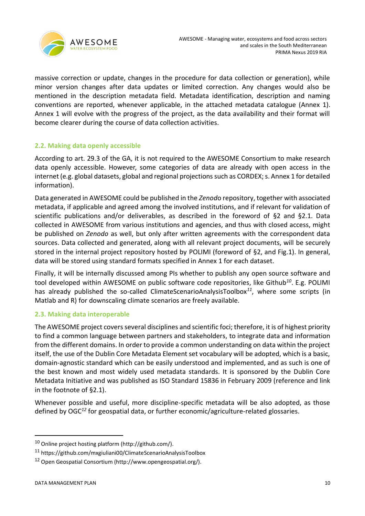

massive correction or update, changes in the procedure for data collection or generation), while minor version changes after data updates or limited correction. Any changes would also be mentioned in the description metadata field. Metadata identification, description and naming conventions are reported, whenever applicable, in the attached metadata catalogue (Annex 1). Annex 1 will evolve with the progress of the project, as the data availability and their format will become clearer during the course of data collection activities.

### <span id="page-9-0"></span>**2.2. Making data openly accessible**

According to art. 29.3 of the GA, it is not required to the AWESOME Consortium to make research data openly accessible. However, some categories of data are already with open access in the internet (e.g. global datasets, global and regional projections such as CORDEX; s. Annex 1 for detailed information).

Data generated in AWESOME could be published in the *Zenod*o repository, together with associated metadata, if applicable and agreed among the involved institutions, and if relevant for validation of scientific publications and/or deliverables, as described in the foreword of §2 and §2.1. Data collected in AWESOME from various institutions and agencies, and thus with closed access, might be published on *Zenodo* as well, but only after written agreements with the correspondent data sources. Data collected and generated, along with all relevant project documents, will be securely stored in the internal project repository hosted by POLIMI (foreword of §2, and Fig.1). In general, data will be stored using standard formats specified in Annex 1 for each dataset.

Finally, it will be internally discussed among PIs whether to publish any open source software and tool developed within AWESOME on public software code repositories, like Github*<sup>10</sup>* . E.g. POLIMI has already published the so-called ClimateScenarioAnalysisToolbox*<sup>11</sup>*, where some scripts (in Matlab and R) for downscaling climate scenarios are freely available.

### <span id="page-9-1"></span>**2.3. Making data interoperable**

The AWESOME project covers several disciplines and scientific foci; therefore, it is of highest priority to find a common language between partners and stakeholders, to integrate data and information from the different domains. In order to provide a common understanding on data within the project itself, the use of the Dublin Core Metadata Element set vocabulary will be adopted, which is a basic, domain-agnostic standard which can be easily understood and implemented, and as such is one of the best known and most widely used metadata standards. It is sponsored by the Dublin Core Metadata Initiative and was published as ISO Standard 15836 in February 2009 (reference and link in the footnote of §2.1).

Whenever possible and useful, more discipline-specific metadata will be also adopted, as those defined by OGC*<sup>12</sup>* for geospatial data, or further economic/agriculture-related glossaries.

<sup>10</sup> Online project hosting platform (http://github.com/).

<sup>11</sup> https://github.com/mxgiuliani00/ClimateScenarioAnalysisToolbox

<sup>12</sup> Open Geospatial Consortium (http://www.opengeospatial.org/).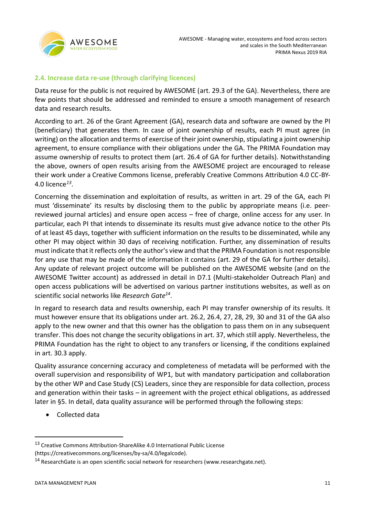

### <span id="page-10-0"></span>**2.4. Increase data re-use (through clarifying licences)**

Data reuse for the public is not required by AWESOME (art. 29.3 of the GA). Nevertheless, there are few points that should be addressed and reminded to ensure a smooth management of research data and research results.

According to art. 26 of the Grant Agreement (GA), research data and software are owned by the PI (beneficiary) that generates them. In case of joint ownership of results, each PI must agree (in writing) on the allocation and terms of exercise of their joint ownership, stipulating a joint ownership agreement, to ensure compliance with their obligations under the GA. The PRIMA Foundation may assume ownership of results to protect them (art. 26.4 of GA for further details). Notwithstanding the above, owners of open results arising from the AWESOME project are encouraged to release their work under a Creative Commons license, preferably Creative Commons Attribution 4.0 CC-BY-4.0 licence*<sup>13</sup>* .

Concerning the dissemination and exploitation of results, as written in art. 29 of the GA, each PI must 'disseminate' its results by disclosing them to the public by appropriate means (i.e. peerreviewed journal articles) and ensure open access – free of charge, online access for any user. In particular, each PI that intends to disseminate its results must give advance notice to the other PIs of at least 45 days, together with sufficient information on the results to be disseminated, while any other PI may object within 30 days of receiving notification. Further, any dissemination of results must indicate that it reflects only the author's view and that the PRIMA Foundation is not responsible for any use that may be made of the information it contains (art. 29 of the GA for further details). Any update of relevant project outcome will be published on the AWESOME website (and on the AWESOME Twitter account) as addressed in detail in D7.1 (Multi-stakeholder Outreach Plan) and open access publications will be advertised on various partner institutions websites, as well as on scientific social networks like *Research Gate<sup>14</sup>* .

In regard to research data and results ownership, each PI may transfer ownership of its results. It must however ensure that its obligations under art. 26.2, 26.4, 27, 28, 29, 30 and 31 of the GA also apply to the new owner and that this owner has the obligation to pass them on in any subsequent transfer. This does not change the security obligations in art. 37, which still apply. Nevertheless, the PRIMA Foundation has the right to object to any transfers or licensing, if the conditions explained in art. 30.3 apply.

Quality assurance concerning accuracy and completeness of metadata will be performed with the overall supervision and responsibility of WP1, but with mandatory participation and collaboration by the other WP and Case Study (CS) Leaders, since they are responsible for data collection, process and generation within their tasks – in agreement with the project ethical obligations, as addressed later in §5. In detail, data quality assurance will be performed through the following steps:

• Collected data

<sup>&</sup>lt;sup>13</sup> Creative Commons Attribution-ShareAlike 4.0 International Public License

<sup>(</sup>https://creativecommons.org/licenses/by-sa/4.0/legalcode).

<sup>&</sup>lt;sup>14</sup> ResearchGate is an open scientific social network for researchers (www.researchgate.net).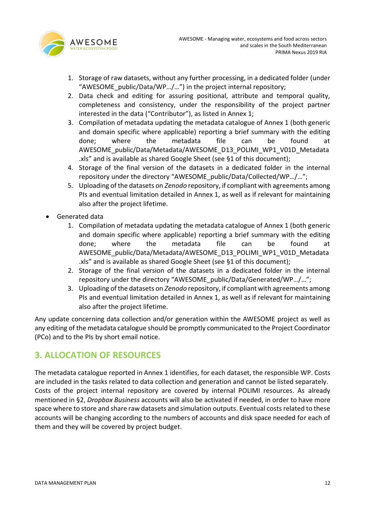

- 1. Storage of raw datasets, without any further processing, in a dedicated folder (under "AWESOME\_public/Data/WP…/…") in the project internal repository;
- 2. Data check and editing for assuring positional, attribute and temporal quality, completeness and consistency, under the responsibility of the project partner interested in the data ("Contributor"), as listed in Annex 1;
- 3. Compilation of metadata updating the metadata catalogue of Annex 1 (both generic and domain specific where applicable) reporting a brief summary with the editing done; where the metadata file can be found at AWESOME\_public/Data/Metadata/AWESOME\_D13\_POLIMI\_WP1\_V01D\_Metadata .xls" and is available as shared Google Sheet (see §1 of this document);
- 4. Storage of the final version of the datasets in a dedicated folder in the internal repository under the directory "AWESOME\_public/Data/Collected/WP…/…";
- 5. Uploading of the datasets on *Zenodo* repository, if compliant with agreements among PIs and eventual limitation detailed in Annex 1, as well as if relevant for maintaining also after the project lifetime.
- Generated data
	- 1. Compilation of metadata updating the metadata catalogue of Annex 1 (both generic and domain specific where applicable) reporting a brief summary with the editing done; where the metadata file can be found at AWESOME\_public/Data/Metadata/AWESOME\_D13\_POLIMI\_WP1\_V01D\_Metadata .xls" and is available as shared Google Sheet (see §1 of this document);
	- 2. Storage of the final version of the datasets in a dedicated folder in the internal repository under the directory "AWESOME\_public/Data/Generated/WP…/…";
	- 3. Uploading of the datasets on *Zenodo* repository, if compliant with agreements among PIs and eventual limitation detailed in Annex 1, as well as if relevant for maintaining also after the project lifetime.

Any update concerning data collection and/or generation within the AWESOME project as well as any editing of the metadata catalogue should be promptly communicated to the Project Coordinator (PCo) and to the PIs by short email notice.

### <span id="page-11-0"></span>**3. ALLOCATION OF RESOURCES**

The metadata catalogue reported in Annex 1 identifies, for each dataset, the responsible WP. Costs are included in the tasks related to data collection and generation and cannot be listed separately. Costs of the project internal repository are covered by internal POLIMI resources. As already mentioned in §2, *Dropbox Business* accounts will also be activated if needed, in order to have more space where to store and share raw datasets and simulation outputs. Eventual costs related to these accounts will be changing according to the numbers of accounts and disk space needed for each of them and they will be covered by project budget.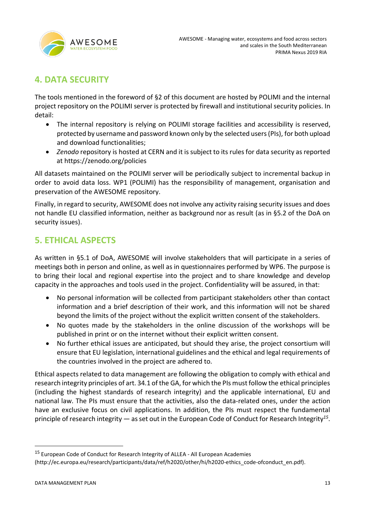

# <span id="page-12-0"></span>**4. DATA SECURITY**

The tools mentioned in the foreword of §2 of this document are hosted by POLIMI and the internal project repository on the POLIMI server is protected by firewall and institutional security policies. In detail:

- The internal repository is relying on POLIMI storage facilities and accessibility is reserved, protected by username and password known only by the selected users (PIs), for both upload and download functionalities;
- *Zenodo* repository is hosted at CERN and it is subject to its rules for data security as reported at<https://zenodo.org/policies>

All datasets maintained on the POLIMI server will be periodically subject to incremental backup in order to avoid data loss. WP1 (POLIMI) has the responsibility of management, organisation and preservation of the AWESOME repository.

Finally, in regard to security, AWESOME does not involve any activity raising security issues and does not handle EU classified information, neither as background nor as result (as in §5.2 of the DoA on security issues).

# <span id="page-12-1"></span>**5. ETHICAL ASPECTS**

As written in §5.1 of DoA, AWESOME will involve stakeholders that will participate in a series of meetings both in person and online, as well as in questionnaires performed by WP6. The purpose is to bring their local and regional expertise into the project and to share knowledge and develop capacity in the approaches and tools used in the project. Confidentiality will be assured, in that:

- No personal information will be collected from participant stakeholders other than contact information and a brief description of their work, and this information will not be shared beyond the limits of the project without the explicit written consent of the stakeholders.
- No quotes made by the stakeholders in the online discussion of the workshops will be published in print or on the internet without their explicit written consent.
- No further ethical issues are anticipated, but should they arise, the project consortium will ensure that EU legislation, international guidelines and the ethical and legal requirements of the countries involved in the project are adhered to.

Ethical aspects related to data management are following the obligation to comply with ethical and research integrity principles of art. 34.1 of the GA, for which the PIs must follow the ethical principles (including the highest standards of research integrity) and the applicable international, EU and national law. The PIs must ensure that the activities, also the data-related ones, under the action have an exclusive focus on civil applications. In addition, the PIs must respect the fundamental principle of research integrity — as set out in the European Code of Conduct for Research Integrity*<sup>15</sup>* .

<sup>&</sup>lt;sup>15</sup> European Code of Conduct for Research Integrity of ALLEA - All European Academies

<sup>(</sup>http://ec.europa.eu/research/participants/data/ref/h2020/other/hi/h2020-ethics\_code-ofconduct\_en.pdf).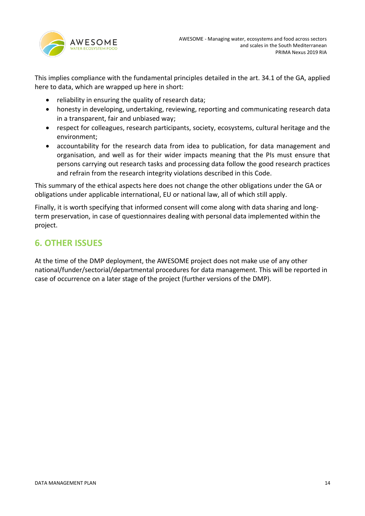

This implies compliance with the fundamental principles detailed in the art. 34.1 of the GA, applied here to data, which are wrapped up here in short:

- reliability in ensuring the quality of research data;
- honesty in developing, undertaking, reviewing, reporting and communicating research data in a transparent, fair and unbiased way;
- respect for colleagues, research participants, society, ecosystems, cultural heritage and the environment;
- accountability for the research data from idea to publication, for data management and organisation, and well as for their wider impacts meaning that the PIs must ensure that persons carrying out research tasks and processing data follow the good research practices and refrain from the research integrity violations described in this Code.

This summary of the ethical aspects here does not change the other obligations under the GA or obligations under applicable international, EU or national law, all of which still apply.

Finally, it is worth specifying that informed consent will come along with data sharing and longterm preservation, in case of questionnaires dealing with personal data implemented within the project.

# <span id="page-13-0"></span>**6. OTHER ISSUES**

At the time of the DMP deployment, the AWESOME project does not make use of any other national/funder/sectorial/departmental procedures for data management. This will be reported in case of occurrence on a later stage of the project (further versions of the DMP).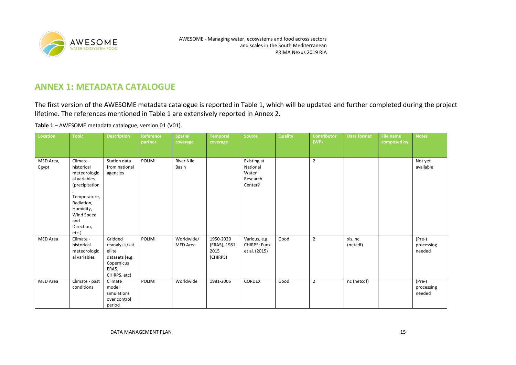

### **ANNEX 1: METADATA CATALOGUE**

The first version of the AWESOME metadata catalogue is reported in Table 1, which will be updated and further completed during the project lifetime. The references mentioned in Table 1 are extensively reported in Annex 2.

**Table 1** – AWESOME metadata catalogue, version 01 (V01).

<span id="page-14-0"></span>

| Location           | <b>Topic</b>                                                                                                                                                     | <b>Description</b>                                                                           | Reference<br>partner | <b>Spatial</b><br>coverage        | <b>Temporal</b><br>coverage                    | <b>Source</b>                                           | <b>Quality</b> | Contributor<br>(WP) | <b>Data format</b>  | <b>File name</b><br>composed by | <b>Notes</b>                     |
|--------------------|------------------------------------------------------------------------------------------------------------------------------------------------------------------|----------------------------------------------------------------------------------------------|----------------------|-----------------------------------|------------------------------------------------|---------------------------------------------------------|----------------|---------------------|---------------------|---------------------------------|----------------------------------|
|                    |                                                                                                                                                                  |                                                                                              |                      |                                   |                                                |                                                         |                |                     |                     |                                 |                                  |
| MED Area,<br>Egypt | Climate -<br>historical<br>meteorologic<br>al variables<br>(precipitation<br>Temperature,<br>Radiation,<br>Humidity,<br>Wind Speed<br>and<br>Direction,<br>etc.) | Station data<br>from national<br>agencies                                                    | POLIMI               | <b>River Nile</b><br><b>Basin</b> |                                                | Existing at<br>National<br>Water<br>Research<br>Center? |                | $\overline{2}$      |                     |                                 | Not yet<br>available             |
| MED Area           | Climate -<br>historical<br>meteorologic<br>al variables                                                                                                          | Gridded<br>reanalysis/sat<br>ellite<br>datasets (e.g.<br>Copernicus<br>ERA5,<br>CHIRPS, etc) | POLIMI               | Worldwide/<br><b>MED</b> Area     | 1950-2020<br>(ERA5), 1981-<br>2015<br>(CHIRPS) | Various, e.g.<br>CHIRPS: Funk<br>et al. (2015)          | Good           | $\overline{2}$      | xls, nc<br>(netcdf) |                                 | (Pre-)<br>processing<br>needed   |
| MED Area           | Climate - past<br>conditions                                                                                                                                     | Climate<br>model<br>simulations<br>over control<br>period                                    | POLIMI               | Worldwide                         | 1981-2005                                      | <b>CORDEX</b>                                           | Good           | $\overline{2}$      | nc (netcdf)         |                                 | $(Pre-)$<br>processing<br>needed |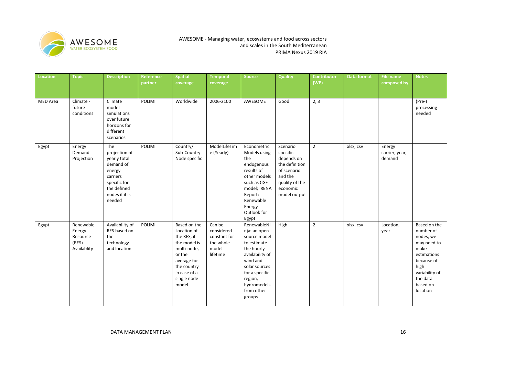

| Location        | <b>Topic</b>                                            | <b>Description</b>                                                                                                                 | <b>Reference</b><br>partner | <b>Spatial</b><br>coverage                                                                                                                                | <b>Temporal</b><br>coverage                                            | <b>Source</b>                                                                                                                                                                                 | <b>Quality</b>                                                                                                                | <b>Contributor</b><br>(WP) | Data format | File name<br>composed by           | Notes                                                                                                                                                    |
|-----------------|---------------------------------------------------------|------------------------------------------------------------------------------------------------------------------------------------|-----------------------------|-----------------------------------------------------------------------------------------------------------------------------------------------------------|------------------------------------------------------------------------|-----------------------------------------------------------------------------------------------------------------------------------------------------------------------------------------------|-------------------------------------------------------------------------------------------------------------------------------|----------------------------|-------------|------------------------------------|----------------------------------------------------------------------------------------------------------------------------------------------------------|
| <b>MED</b> Area | Climate -<br>future<br>conditions                       | Climate<br>model<br>simulations<br>over future<br>horizons for<br>different<br>scenarios                                           | POLIMI                      | Worldwide                                                                                                                                                 | 2006-2100                                                              | AWESOME                                                                                                                                                                                       | Good                                                                                                                          | 2, 3                       |             |                                    | $(Pre-)$<br>processing<br>needed                                                                                                                         |
| Egypt           | Energy<br>Demand<br>Projection                          | The<br>projection of<br>yearly total<br>demand of<br>energy<br>carriers<br>specific for<br>the defined<br>nodes if it is<br>needed | POLIMI                      | Country/<br>Sub-Country<br>Node specific                                                                                                                  | ModelLifeTim<br>e (Yearly)                                             | Econometric<br>Models using<br>the<br>endogenous<br>results of<br>other models<br>such as CGE<br>model; IRENA<br>Report:<br>Renewable<br>Energy<br>Outlook for<br>Egypt                       | Scenario<br>specific:<br>depends on<br>the definition<br>of scenario<br>and the<br>quality of the<br>economic<br>model output | $\overline{2}$             | xlsx, csv   | Energy<br>carrier, year,<br>demand |                                                                                                                                                          |
| Egypt           | Renewable<br>Energy<br>Resource<br>(RES)<br>Availablity | Availability of<br>RES based on<br>the<br>technology<br>and location                                                               | POLIMI                      | Based on the<br>Location of<br>the RES, if<br>the model is<br>multi-node,<br>or the<br>average for<br>the country<br>in case of a<br>single node<br>model | Can be<br>considered<br>constant for<br>the whole<br>model<br>lifetime | RenewableNi<br>nja: an open-<br>source model<br>to estimate<br>the hourly<br>availability of<br>wind and<br>solar sources<br>for a specific<br>region,<br>hydromodels<br>from other<br>groups | High                                                                                                                          | $\overline{2}$             | xlsx, csv   | Location,<br>year                  | Based on the<br>number of<br>nodes, we<br>may need to<br>make<br>estimations<br>because of<br>high<br>variability of<br>the data<br>based on<br>location |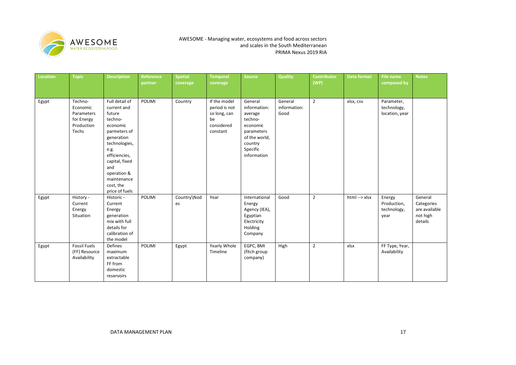

| <b>Location</b> | <b>Topic</b>                                                           | <b>Description</b>                                                                                                                                                                                                           | Reference<br>partner | <b>Spatial</b><br>coverage | <b>Temporal</b><br>coverage                                                   | Source                                                                                                                         | Quality                         | <b>Contributor</b><br>(WP) | Data format   | File name<br>composed by                     | <b>Notes</b>                                                  |
|-----------------|------------------------------------------------------------------------|------------------------------------------------------------------------------------------------------------------------------------------------------------------------------------------------------------------------------|----------------------|----------------------------|-------------------------------------------------------------------------------|--------------------------------------------------------------------------------------------------------------------------------|---------------------------------|----------------------------|---------------|----------------------------------------------|---------------------------------------------------------------|
| Egypt           | Techno-<br>Economic<br>Parameters<br>for Energy<br>Production<br>Techs | Full detail of<br>current and<br>future<br>techno-<br>economic<br>parmeters of<br>generation<br>technologies,<br>e.g.<br>efficiencies,<br>capital, fixed<br>and<br>operation &<br>maintenance<br>cost, the<br>price of fuels | POLIMI               | Country                    | If the model<br>period is not<br>so long, can<br>be<br>considered<br>constant | General<br>information:<br>average<br>techno-<br>economic<br>parameters<br>of the world,<br>country<br>Specific<br>information | General<br>information:<br>Good | $\overline{2}$             | xlsx, csv     | Parameter,<br>technology,<br>location, year  |                                                               |
| Egypt           | History -<br>Current<br>Energy<br>Situation                            | Historic -<br>Current<br>Energy<br>generation<br>mix with full<br>details for<br>calibration of<br>the model                                                                                                                 | POLIMI               | Country\Nod<br>es          | Year                                                                          | International<br>Energy<br>Agency (IEA),<br>Egyptian<br>Electricity<br>Holding<br>Company                                      | Good                            | $\overline{2}$             | html --> xlsx | Energy<br>Production,<br>technology,<br>year | General<br>Categories<br>are available<br>not high<br>details |
| Egypt           | <b>Fossil Fuels</b><br>(FF) Resource<br>Availability                   | Defines<br>maximum<br>extractable<br>FF from<br>domestic<br>reservoirs                                                                                                                                                       | POLIMI               | Egypt                      | Yearly Whole<br>Timeline                                                      | EGPC, BMI<br>(fitch group<br>company)                                                                                          | High                            | $\overline{2}$             | xlsx          | FF Type, Year,<br>Availability               |                                                               |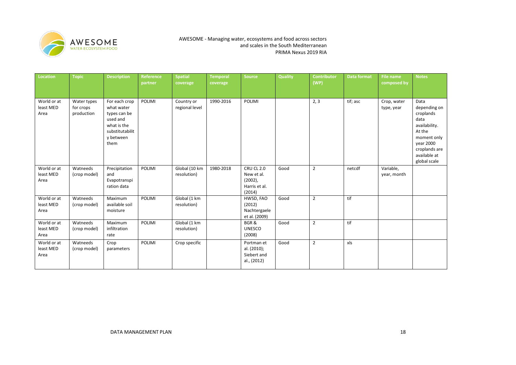

| Location                         | <b>Topic</b>                           | <b>Description</b>                                                                                             | Reference<br>partner | <b>Spatial</b><br>coverage   | <b>Temporal</b><br>coverage | <b>Source</b>                                                            | <b>Quality</b> | <b>Contributor</b><br>(WP) | <b>Data format</b> | File name<br>composed by  | <b>Notes</b>                                                                                                                                      |
|----------------------------------|----------------------------------------|----------------------------------------------------------------------------------------------------------------|----------------------|------------------------------|-----------------------------|--------------------------------------------------------------------------|----------------|----------------------------|--------------------|---------------------------|---------------------------------------------------------------------------------------------------------------------------------------------------|
| World or at<br>least MED<br>Area | Water types<br>for crops<br>production | For each crop<br>what water<br>types can be<br>used and<br>what is the<br>substitutabilit<br>y between<br>them | POLIMI               | Country or<br>regional level | 1990-2016                   | POLIMI                                                                   |                | 2, 3                       | tif; asc           | Crop, water<br>type, year | Data<br>depending on<br>croplands<br>data<br>availability.<br>At the<br>moment only<br>year 2000<br>croplands are<br>available at<br>global scale |
| World or at<br>least MED<br>Area | Watneeds<br>(crop model)               | Precipitation<br>and<br>Evapotranspi<br>ration data                                                            | POLIMI               | Global (10 km<br>resolution) | 1980-2018                   | <b>CRU CL 2.0</b><br>New et al.<br>$(2002)$ ,<br>Harris et al.<br>(2014) | Good           | $\overline{2}$             | netcdf             | Variable,<br>year, month  |                                                                                                                                                   |
| World or at<br>least MED<br>Area | Watneeds<br>(crop model)               | Maximum<br>available soil<br>moisture                                                                          | <b>POLIMI</b>        | Global (1 km<br>resolution)  |                             | HWSD, FAO<br>(2012)<br>Nachtergaele<br>et al. (2009)                     | Good           | $\overline{2}$             | tif                |                           |                                                                                                                                                   |
| World or at<br>least MED<br>Area | Watneeds<br>(crop model)               | Maximum<br>infiltration<br>rate                                                                                | <b>POLIMI</b>        | Global (1 km<br>resolution)  |                             | BGR&<br><b>UNESCO</b><br>(2008)                                          | Good           | $\overline{2}$             | tif                |                           |                                                                                                                                                   |
| World or at<br>least MED<br>Area | Watneeds<br>(crop model)               | Crop<br>parameters                                                                                             | POLIMI               | Crop specific                |                             | Portman et<br>al. (2010);<br>Siebert and<br>al., (2012)                  | Good           | $\overline{2}$             | xls                |                           |                                                                                                                                                   |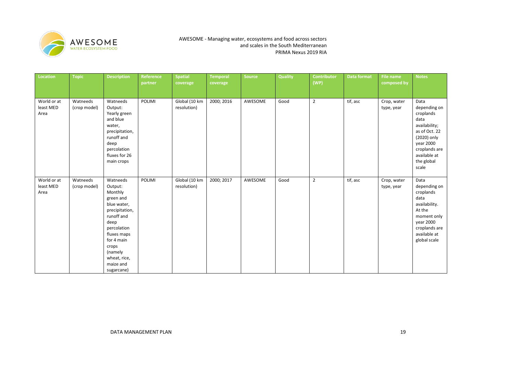

| Location                         | <b>Topic</b>             | <b>Description</b>                                                                                                                                                                                            | Reference<br>partner | <b>Spatial</b><br>coverage   | <b>Temporal</b><br>coverage | Source  | <b>Quality</b> | <b>Contributor</b><br>(WP) | Data format | <b>File name</b><br>composed by | <b>Notes</b>                                                                                                                                                    |
|----------------------------------|--------------------------|---------------------------------------------------------------------------------------------------------------------------------------------------------------------------------------------------------------|----------------------|------------------------------|-----------------------------|---------|----------------|----------------------------|-------------|---------------------------------|-----------------------------------------------------------------------------------------------------------------------------------------------------------------|
| World or at<br>least MED<br>Area | Watneeds<br>(crop model) | Watneeds<br>Output:<br>Yearly green<br>and blue<br>water,<br>precipitation,<br>runoff and<br>deep<br>percolation<br>fluxes for 26<br>main crops                                                               | POLIMI               | Global (10 km<br>resolution) | 2000; 2016                  | AWESOME | Good           | $\overline{2}$             | tif, asc    | Crop, water<br>type, year       | Data<br>depending on<br>croplands<br>data<br>availability;<br>as of Oct. 22<br>(2020) only<br>year 2000<br>croplands are<br>available at<br>the global<br>scale |
| World or at<br>least MED<br>Area | Watneeds<br>(crop model) | Watneeds<br>Output:<br>Monthly<br>green and<br>blue water,<br>precipitation,<br>runoff and<br>deep<br>percolation<br>fluxes maps<br>for 4 main<br>crops<br>(namely<br>wheat, rice,<br>maize and<br>sugarcane) | POLIMI               | Global (10 km<br>resolution) | 2000; 2017                  | AWESOME | Good           | $\overline{2}$             | tif, asc    | Crop, water<br>type, year       | Data<br>depending on<br>croplands<br>data<br>availability.<br>At the<br>moment only<br>year 2000<br>croplands are<br>available at<br>global scale               |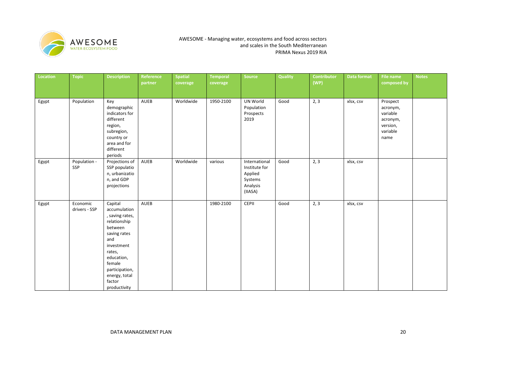

| Location | <b>Topic</b>              | <b>Description</b>                                                                                                                                                                                        | Reference<br>partner | <b>Spatial</b><br>coverage | <b>Temporal</b><br>coverage | Source                                                                      | <b>Quality</b> | <b>Contributor</b><br>(WP) | Data format | <b>File name</b><br>composed by                                              | <b>Notes</b> |
|----------|---------------------------|-----------------------------------------------------------------------------------------------------------------------------------------------------------------------------------------------------------|----------------------|----------------------------|-----------------------------|-----------------------------------------------------------------------------|----------------|----------------------------|-------------|------------------------------------------------------------------------------|--------------|
| Egypt    | Population                | Key<br>demographic<br>indicators for<br>different<br>region,<br>subregion,<br>country or<br>area and for<br>different<br>periods                                                                          | AUEB                 | Worldwide                  | 1950-2100                   | UN World<br>Population<br>Prospects<br>2019                                 | Good           | 2, 3                       | xlsx, csv   | Prospect<br>acronym,<br>variable<br>acronym,<br>version,<br>variable<br>name |              |
| Egypt    | Population -<br>SSP       | Projections of<br>SSP populatio<br>n, urbanizatio<br>n, and GDP<br>projections                                                                                                                            | AUEB                 | Worldwide                  | various                     | International<br>Institute for<br>Applied<br>Systems<br>Analysis<br>(IIASA) | Good           | 2, 3                       | xlsx, csv   |                                                                              |              |
| Egypt    | Economic<br>drivers - SSP | Capital<br>accumulation<br>, saving rates,<br>relationship<br>between<br>saving rates<br>and<br>investment<br>rates,<br>education,<br>female<br>participation,<br>energy, total<br>factor<br>productivity | <b>AUEB</b>          |                            | 1980-2100                   | CEPII                                                                       | Good           | 2, 3                       | xlsx, csv   |                                                                              |              |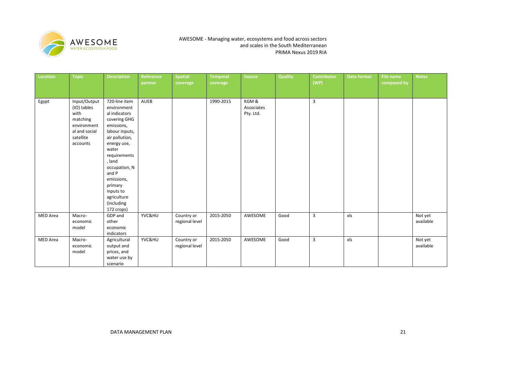

| Location | <b>Topic</b>        | <b>Description</b>           | Reference<br>partner | <b>Spatial</b><br>coverage | <b>Temporal</b><br>coverage | Source                  | Quality | <b>Contributor</b><br>(WP) | Data format | <b>File name</b><br>composed by | <b>Notes</b> |
|----------|---------------------|------------------------------|----------------------|----------------------------|-----------------------------|-------------------------|---------|----------------------------|-------------|---------------------------------|--------------|
|          |                     |                              |                      |                            |                             |                         |         |                            |             |                                 |              |
| Egypt    | Input/Output        | 720-line item                | AUEB                 |                            | 1990-2015                   | KGM&                    |         | 3                          |             |                                 |              |
|          | (IO) tables<br>with | environment<br>al indicators |                      |                            |                             | Associates<br>Pty. Ltd. |         |                            |             |                                 |              |
|          | matching            | covering GHG                 |                      |                            |                             |                         |         |                            |             |                                 |              |
|          | environment         | emissions,                   |                      |                            |                             |                         |         |                            |             |                                 |              |
|          | al and social       | labour inputs,               |                      |                            |                             |                         |         |                            |             |                                 |              |
|          | satellite           | air pollution,               |                      |                            |                             |                         |         |                            |             |                                 |              |
|          | accounts            | energy use,                  |                      |                            |                             |                         |         |                            |             |                                 |              |
|          |                     | water<br>requirements        |                      |                            |                             |                         |         |                            |             |                                 |              |
|          |                     | , land                       |                      |                            |                             |                         |         |                            |             |                                 |              |
|          |                     | occupation, N                |                      |                            |                             |                         |         |                            |             |                                 |              |
|          |                     | and P                        |                      |                            |                             |                         |         |                            |             |                                 |              |
|          |                     | emissions,                   |                      |                            |                             |                         |         |                            |             |                                 |              |
|          |                     | primary                      |                      |                            |                             |                         |         |                            |             |                                 |              |
|          |                     | inputs to                    |                      |                            |                             |                         |         |                            |             |                                 |              |
|          |                     | agriculture<br>(including    |                      |                            |                             |                         |         |                            |             |                                 |              |
|          |                     | 172 crops)                   |                      |                            |                             |                         |         |                            |             |                                 |              |
| MED Area | Macro-              | GDP and                      | YVC&HU               | Country or                 | 2015-2050                   | AWESOME                 | Good    | 3                          | xls         |                                 | Not yet      |
|          | economic            | other                        |                      | regional level             |                             |                         |         |                            |             |                                 | available    |
|          | model               | economic                     |                      |                            |                             |                         |         |                            |             |                                 |              |
|          |                     | indicators                   |                      |                            |                             |                         |         |                            |             |                                 |              |
| MED Area | Macro-              | Agricultural                 | YVC&HU               | Country or                 | 2015-2050                   | AWESOME                 | Good    | 3                          | xls         |                                 | Not yet      |
|          | economic            | output and                   |                      | regional level             |                             |                         |         |                            |             |                                 | available    |
|          | model               | prices, and<br>water use by  |                      |                            |                             |                         |         |                            |             |                                 |              |
|          |                     | scenario                     |                      |                            |                             |                         |         |                            |             |                                 |              |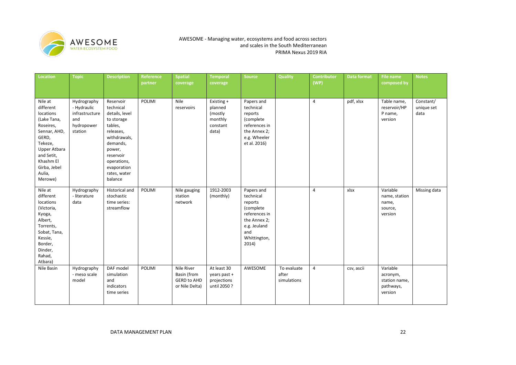

| <b>Location</b>                                                                                                                                                                          | <b>Topic</b>                                                                 | <b>Description</b>                                                                                                                                                                         | Reference<br>partner | <b>Spatial</b><br>coverage                                        | <b>Temporal</b><br>coverage                                      | <b>Source</b>                                                                                                                    | <b>Quality</b>                      | <b>Contributor</b><br>(WP) | <b>Data format</b> | <b>File name</b><br>composed by                               | <b>Notes</b>                    |
|------------------------------------------------------------------------------------------------------------------------------------------------------------------------------------------|------------------------------------------------------------------------------|--------------------------------------------------------------------------------------------------------------------------------------------------------------------------------------------|----------------------|-------------------------------------------------------------------|------------------------------------------------------------------|----------------------------------------------------------------------------------------------------------------------------------|-------------------------------------|----------------------------|--------------------|---------------------------------------------------------------|---------------------------------|
| Nile at<br>different<br>locations<br>(Lake Tana,<br>Roseires,<br>Sennar, AHD,<br>GERD,<br>Tekeze,<br><b>Upper Atbara</b><br>and Setit,<br>Khashm El<br>Girba, Jebel<br>Aulia,<br>Merowe) | Hydrography<br>- Hydraulic<br>infrastructure<br>and<br>hydropower<br>station | Reservoir<br>technical<br>details, level<br>to storage<br>tables,<br>releases,<br>withdrawals,<br>demands,<br>power,<br>reservoir<br>operations,<br>evaporation<br>rates, water<br>balance | <b>POLIMI</b>        | Nile<br>reservoirs                                                | Existing +<br>planned<br>(mostly<br>monthly<br>constant<br>data) | Papers and<br>technical<br>reports<br>(complete<br>references in<br>the Annex 2;<br>e.g. Wheeler<br>et al. 2016)                 |                                     | $\overline{4}$             | pdf, xlsx          | Table name,<br>reservoir/HP<br>P name,<br>version             | Constant/<br>unique set<br>data |
| Nile at<br>different<br>locations<br>(Victoria,<br>Kyoga,<br>Albert,<br>Torrents,<br>Sobat, Tana,<br>Kessie,<br>Border,<br>Dinder,<br>Rahad,<br>Atbara)                                  | Hydrography<br>- literature<br>data                                          | Historical and<br>stochastic<br>time series:<br>streamflow                                                                                                                                 | POLIMI               | Nile gauging<br>station<br>network                                | 1912-2003<br>(monthly)                                           | Papers and<br>technical<br>reports<br>(complete<br>references in<br>the Annex 2;<br>e.g. Jeuland<br>and<br>Whittington,<br>2014) |                                     | $\overline{4}$             | xlsx               | Variable<br>name, station<br>name,<br>source,<br>version      | Missing data                    |
| Nile Basin                                                                                                                                                                               | Hydrography<br>- meso scale<br>model                                         | DAF model<br>simulation<br>and<br>indicators<br>time series                                                                                                                                | <b>POLIMI</b>        | Nile River<br>Basin (from<br><b>GERD to AHD</b><br>or Nile Delta) | At least 30<br>years past +<br>projections<br>until 2050?        | AWESOME                                                                                                                          | To evaluate<br>after<br>simulations | 4                          | csv, ascii         | Variable<br>acronym,<br>station name,<br>pathways,<br>version |                                 |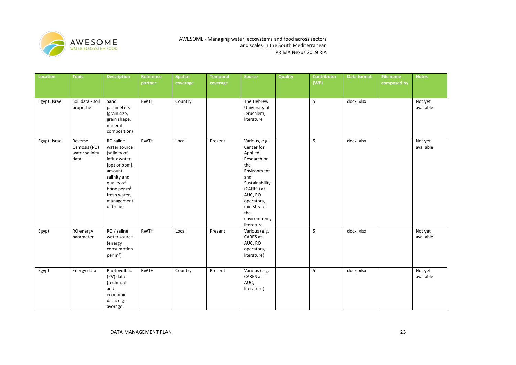

| <b>Location</b> | <b>Topic</b>                                      | <b>Description</b>                                                                                                                                                                         | Reference<br>partner | <b>Spatial</b><br>coverage | <b>Temporal</b><br>coverage | <b>Source</b>                                                                                                                                                                                   | Quality | <b>Contributor</b><br>(WP) | <b>Data format</b> | <b>File name</b><br>composed by | <b>Notes</b>         |
|-----------------|---------------------------------------------------|--------------------------------------------------------------------------------------------------------------------------------------------------------------------------------------------|----------------------|----------------------------|-----------------------------|-------------------------------------------------------------------------------------------------------------------------------------------------------------------------------------------------|---------|----------------------------|--------------------|---------------------------------|----------------------|
| Egypt, Israel   | Soil data - soil<br>properties                    | Sand<br>parameters<br>(grain size,<br>grain shape,<br>mineral<br>composition)                                                                                                              | <b>RWTH</b>          | Country                    |                             | The Hebrew<br>University of<br>Jerusalem,<br>literature                                                                                                                                         |         | 5                          | docx, xlsx         |                                 | Not yet<br>available |
| Egypt, Israel   | Reverse<br>Osmosis (RO)<br>water salinity<br>data | RO saline<br>water source<br>(salinity of<br>influx water<br>[ppt or ppm],<br>amount,<br>salinity and<br>quality of<br>brine per m <sup>3</sup><br>fresh water,<br>management<br>of brine) | <b>RWTH</b>          | Local                      | Present                     | Various, e.g.<br>Center for<br>Applied<br>Research on<br>the<br>Environment<br>and<br>Sustainability<br>(CARES) at<br>AUC, RO<br>operators,<br>ministry of<br>the<br>environment,<br>literature |         | 5                          | docx, xlsx         |                                 | Not yet<br>available |
| Egypt           | RO energy<br>parameter                            | RO / saline<br>water source<br>(energy<br>consumption<br>per $m^3$ )                                                                                                                       | <b>RWTH</b>          | Local                      | Present                     | Various (e.g.<br>CARES at<br>AUC, RO<br>operators,<br>literature)                                                                                                                               |         | 5                          | docx, xlsx         |                                 | Not yet<br>available |
| Egypt           | Energy data                                       | Photovoltaic<br>(PV) data<br>(technical<br>and<br>economic<br>data: e.g.<br>average                                                                                                        | <b>RWTH</b>          | Country                    | Present                     | Various (e.g.<br>CARES at<br>AUC,<br>literature)                                                                                                                                                |         | 5                          | docx, xlsx         |                                 | Not yet<br>available |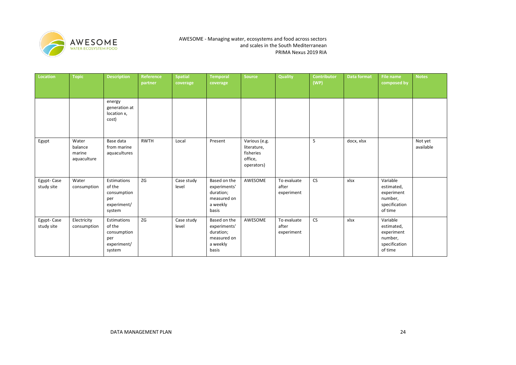

| Location                 | <b>Topic</b>                              | <b>Description</b>                                                   | Reference<br>partner | <b>Spatial</b><br>coverage | <b>Temporal</b><br>coverage                                                   | <b>Source</b>                                                      | <b>Quality</b>                     | <b>Contributor</b><br>(WP) | <b>Data format</b> | File name<br>composed by                                                    | <b>Notes</b>         |
|--------------------------|-------------------------------------------|----------------------------------------------------------------------|----------------------|----------------------------|-------------------------------------------------------------------------------|--------------------------------------------------------------------|------------------------------------|----------------------------|--------------------|-----------------------------------------------------------------------------|----------------------|
|                          |                                           | energy<br>generation at<br>location x,<br>cost)                      |                      |                            |                                                                               |                                                                    |                                    |                            |                    |                                                                             |                      |
| Egypt                    | Water<br>balance<br>marine<br>aquaculture | Base data<br>from marine<br>aquacultures                             | <b>RWTH</b>          | Local                      | Present                                                                       | Various (e.g.<br>literature,<br>fisheries<br>office,<br>operators) |                                    | 5                          | docx, xlsx         |                                                                             | Not yet<br>available |
| Egypt-Case<br>study site | Water<br>consumption                      | Estimations<br>of the<br>consumption<br>per<br>experiment/<br>system | ZG                   | Case study<br>level        | Based on the<br>experiments'<br>duration;<br>measured on<br>a weekly<br>basis | AWESOME                                                            | To evaluate<br>after<br>experiment | <b>CS</b>                  | xlsx               | Variable<br>estimated,<br>experiment<br>number,<br>specification<br>of time |                      |
| Egypt-Case<br>study site | Electricity<br>consumption                | Estimations<br>of the<br>consumption<br>per<br>experiment/<br>system | ZG                   | Case study<br>level        | Based on the<br>experiments'<br>duration;<br>measured on<br>a weekly<br>basis | AWESOME                                                            | To evaluate<br>after<br>experiment | <b>CS</b>                  | xlsx               | Variable<br>estimated,<br>experiment<br>number,<br>specification<br>of time |                      |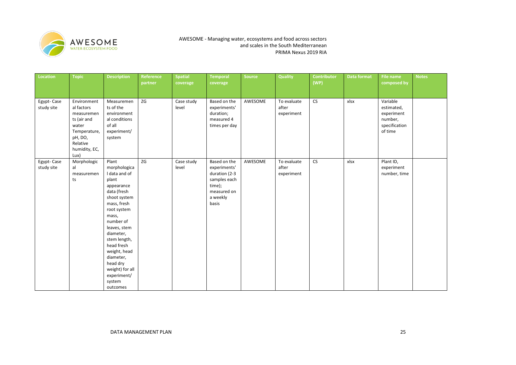

| Location                 | <b>Topic</b>                                                                                                                    | <b>Description</b>                                                                                                                                                                                                                                                                                           | Reference<br>partner | <b>Spatial</b><br>coverage | <b>Temporal</b><br>coverage                                                                                 | Source  | <b>Quality</b>                     | <b>Contributor</b><br>(WP) | Data format | <b>File name</b><br>composed by                                             | <b>Notes</b> |
|--------------------------|---------------------------------------------------------------------------------------------------------------------------------|--------------------------------------------------------------------------------------------------------------------------------------------------------------------------------------------------------------------------------------------------------------------------------------------------------------|----------------------|----------------------------|-------------------------------------------------------------------------------------------------------------|---------|------------------------------------|----------------------------|-------------|-----------------------------------------------------------------------------|--------------|
| Egypt-Case<br>study site | Environment<br>al factors<br>measuremen<br>ts (air and<br>water<br>Temperature,<br>pH, DO,<br>Relative<br>humidity, EC,<br>Lux) | Measuremen<br>ts of the<br>environment<br>al conditions<br>of all<br>experiment/<br>system                                                                                                                                                                                                                   | ZG                   | Case study<br>level        | Based on the<br>experiments'<br>duration;<br>measured 4<br>times per day                                    | AWESOME | To evaluate<br>after<br>experiment | <b>CS</b>                  | xlsx        | Variable<br>estimated,<br>experiment<br>number,<br>specification<br>of time |              |
| Egypt-Case<br>study site | Morphologic<br>al<br>measuremen<br>ts                                                                                           | Plant<br>morphologica<br>I data and of<br>plant<br>appearance<br>data (fresh<br>shoot system<br>mass, fresh<br>root system<br>mass,<br>number of<br>leaves, stem<br>diameter,<br>stem length,<br>head fresh<br>weight, head<br>diameter,<br>head dry<br>weight) for all<br>experiment/<br>system<br>outcomes | ZG                   | Case study<br>level        | Based on the<br>experiments'<br>duration (2-3<br>samples each<br>time);<br>measured on<br>a weekly<br>basis | AWESOME | To evaluate<br>after<br>experiment | CS                         | xlsx        | Plant ID,<br>experiment<br>number, time                                     |              |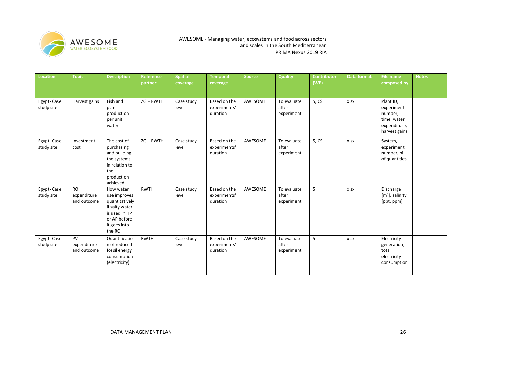

| Location                 | <b>Topic</b>                            | <b>Description</b>                                                                                                       | <b>Reference</b><br>partner | <b>Spatial</b><br>coverage | <b>Temporal</b><br>coverage              | Source  | <b>Quality</b>                     | <b>Contributor</b><br>(WP) | Data format | File name<br>composed by                                                           | <b>Notes</b> |
|--------------------------|-----------------------------------------|--------------------------------------------------------------------------------------------------------------------------|-----------------------------|----------------------------|------------------------------------------|---------|------------------------------------|----------------------------|-------------|------------------------------------------------------------------------------------|--------------|
| Egypt-Case<br>study site | Harvest gains                           | Fish and<br>plant<br>production<br>per unit<br>water                                                                     | ZG + RWTH                   | Case study<br>level        | Based on the<br>experiments'<br>duration | AWESOME | To evaluate<br>after<br>experiment | 5, C <sub>S</sub>          | xlsx        | Plant ID,<br>experiment<br>number,<br>time, water<br>expenditure,<br>harvest gains |              |
| Egypt-Case<br>study site | Investment<br>cost                      | The cost of<br>purchasing<br>and building<br>the systems<br>in relation to<br>the<br>production<br>achieved              | $ZG + RWTH$                 | Case study<br>level        | Based on the<br>experiments'<br>duration | AWESOME | To evaluate<br>after<br>experiment | 5, CS                      | xlsx        | System,<br>experiment<br>number, bill<br>of quantities                             |              |
| Egypt-Case<br>study site | <b>RO</b><br>expenditure<br>and outcome | How water<br>use improves<br>quantitatively<br>if salty water<br>is used in HP<br>or AP before<br>it goes into<br>the RO | <b>RWTH</b>                 | Case study<br>level        | Based on the<br>experiments'<br>duration | AWESOME | To evaluate<br>after<br>experiment | 5                          | xlsx        | Discharge<br>$[m3]$ , salinity<br>[ppt, ppm]                                       |              |
| Egypt-Case<br>study site | PV<br>expenditure<br>and outcome        | Quantificatio<br>n of reduced<br>fossil energy<br>consumption<br>(electricity)                                           | <b>RWTH</b>                 | Case study<br>level        | Based on the<br>experiments'<br>duration | AWESOME | To evaluate<br>after<br>experiment | 5                          | xlsx        | Electricity<br>generation,<br>total<br>electricity<br>consumption                  |              |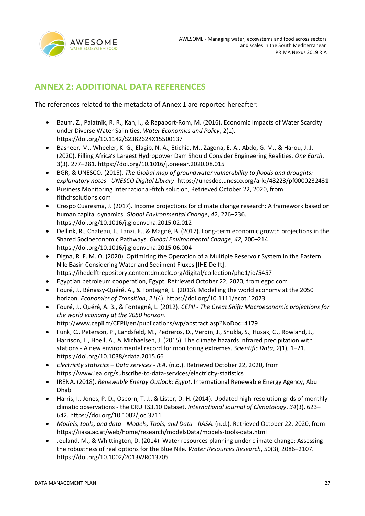

# <span id="page-26-0"></span>**ANNEX 2: ADDITIONAL DATA REFERENCES**

The references related to the metadata of Annex 1 are reported hereafter:

- Baum, Z., Palatnik, R. R., Kan, I., & Rapaport-Rom, M. (2016). Economic Impacts of Water Scarcity under Diverse Water Salinities. *Water Economics and Policy*, 2(1). https://doi.org/10.1142/S2382624X15500137
- Basheer, M., Wheeler, K. G., Elagib, N. A., Etichia, M., Zagona, E. A., Abdo, G. M., & Harou, J. J. (2020). Filling Africa's Largest Hydropower Dam Should Consider Engineering Realities. *One Earth*, 3(3), 277–281. https://doi.org/10.1016/j.oneear.2020.08.015
- BGR, & UNESCO. (2015). *The Global map of groundwater vulnerability to floods and droughts: explanatory notes - UNESCO Digital Library*. https://unesdoc.unesco.org/ark:/48223/pf0000232431
- Business Monitoring International-fitch solution, Retrieved October 22, 2020, from fithchsolutions.com
- Crespo Cuaresma, J. (2017). Income projections for climate change research: A framework based on human capital dynamics. *Global Environmental Change*, *42*, 226–236. https://doi.org/10.1016/j.gloenvcha.2015.02.012
- Dellink, R., Chateau, J., Lanzi, E., & Magné, B. (2017). Long-term economic growth projections in the Shared Socioeconomic Pathways. *Global Environmental Change*, *42*, 200–214. https://doi.org/10.1016/j.gloenvcha.2015.06.004
- Digna, R. F. M. O. (2020). Optimizing the Operation of a Multiple Reservoir System in the Eastern Nile Basin Considering Water and Sediment Fluxes [IHE Delft]. https://ihedelftrepository.contentdm.oclc.org/digital/collection/phd1/id/5457
- Egyptian petroleum cooperation, Egypt. Retrieved October 22, 2020, from egpc.com
- Fouré, J., Bénassy-Quéré, A., & Fontagné, L. (2013). Modelling the world economy at the 2050 horizon. *Economics of Transition*, *21*(4). https://doi.org/10.1111/ecot.12023
- Fouré, J., Quéré, A. B., & Fontagné, L. (2012). *CEPII - The Great Shift: Macroeconomic projections for the world economy at the 2050 horizon*. http://www.cepii.fr/CEPII/en/publications/wp/abstract.asp?NoDoc=4179
- Funk, C., Peterson, P., Landsfeld, M., Pedreros, D., Verdin, J., Shukla, S., Husak, G., Rowland, J., Harrison, L., Hoell, A., & Michaelsen, J. (2015). The climate hazards infrared precipitation with stations - A new environmental record for monitoring extremes. *Scientific Data*, *2*(1), 1–21. https://doi.org/10.1038/sdata.2015.66
- *Electricity statistics – Data services - IEA*. (n.d.). Retrieved October 22, 2020, from https://www.iea.org/subscribe-to-data-services/electricity-statistics
- IRENA. (2018). *Renewable Energy Outlook: Egypt*. International Renewable Energy Agency, Abu Dhab
- Harris, I., Jones, P. D., Osborn, T. J., & Lister, D. H. (2014). Updated high-resolution grids of monthly climatic observations - the CRU TS3.10 Dataset. *International Journal of Climatology*, *34*(3), 623– 642. https://doi.org/10.1002/joc.3711
- *Models, tools, and data - Models, Tools, and Data - IIASA*. (n.d.). Retrieved October 22, 2020, from https://iiasa.ac.at/web/home/research/modelsData/models-tools-data.html
- Jeuland, M., & Whittington, D. (2014). Water resources planning under climate change: Assessing the robustness of real options for the Blue Nile. *Water Resources Research*, 50(3), 2086–2107. https://doi.org/10.1002/2013WR013705